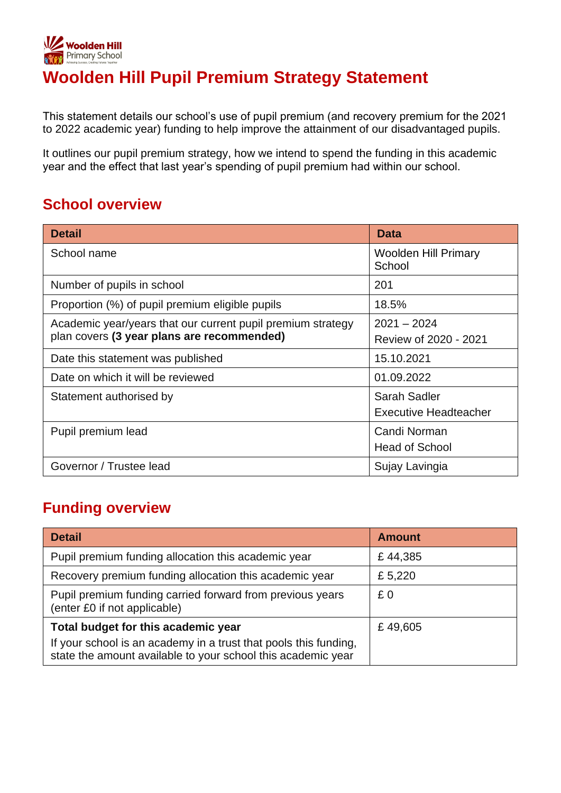

# **Woolden Hill Pupil Premium Strategy Statement**

This statement details our school's use of pupil premium (and recovery premium for the 2021 to 2022 academic year) funding to help improve the attainment of our disadvantaged pupils.

It outlines our pupil premium strategy, how we intend to spend the funding in this academic year and the effect that last year's spending of pupil premium had within our school.

### **School overview**

| <b>Detail</b>                                                                                             | <b>Data</b>                                  |
|-----------------------------------------------------------------------------------------------------------|----------------------------------------------|
| School name                                                                                               | <b>Woolden Hill Primary</b><br>School        |
| Number of pupils in school                                                                                | 201                                          |
| Proportion (%) of pupil premium eligible pupils                                                           | 18.5%                                        |
| Academic year/years that our current pupil premium strategy<br>plan covers (3 year plans are recommended) | $2021 - 2024$<br>Review of 2020 - 2021       |
| Date this statement was published                                                                         | 15.10.2021                                   |
| Date on which it will be reviewed                                                                         | 01.09.2022                                   |
| Statement authorised by                                                                                   | Sarah Sadler<br><b>Executive Headteacher</b> |
| Pupil premium lead                                                                                        | Candi Norman<br><b>Head of School</b>        |
| Governor / Trustee lead                                                                                   | Sujay Lavingia                               |

### **Funding overview**

| <b>Detail</b>                                                                                                                                                           | <b>Amount</b> |
|-------------------------------------------------------------------------------------------------------------------------------------------------------------------------|---------------|
| Pupil premium funding allocation this academic year                                                                                                                     | £44,385       |
| Recovery premium funding allocation this academic year                                                                                                                  | £ 5,220       |
| Pupil premium funding carried forward from previous years<br>(enter £0 if not applicable)                                                                               | £0            |
| Total budget for this academic year<br>If your school is an academy in a trust that pools this funding,<br>state the amount available to your school this academic year | £49,605       |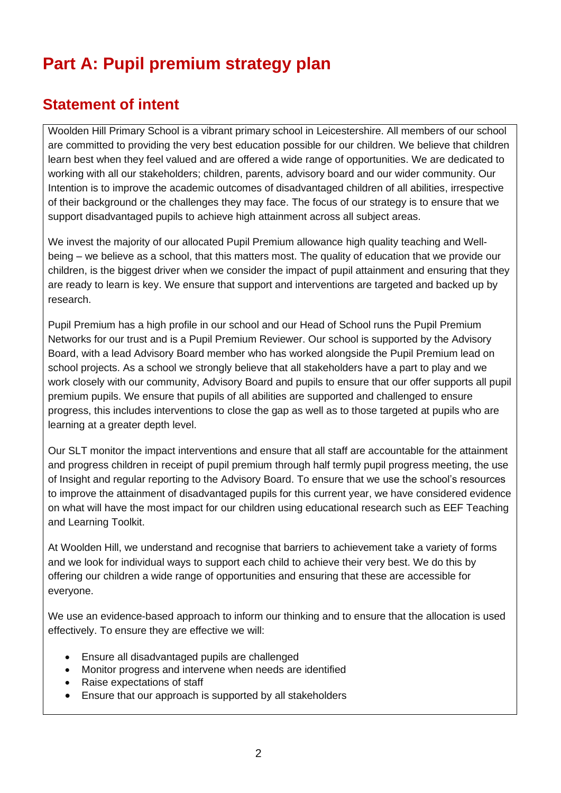# **Part A: Pupil premium strategy plan**

## **Statement of intent**

Woolden Hill Primary School is a vibrant primary school in Leicestershire. All members of our school are committed to providing the very best education possible for our children. We believe that children learn best when they feel valued and are offered a wide range of opportunities. We are dedicated to working with all our stakeholders; children, parents, advisory board and our wider community. Our Intention is to improve the academic outcomes of disadvantaged children of all abilities, irrespective of their background or the challenges they may face. The focus of our strategy is to ensure that we support disadvantaged pupils to achieve high attainment across all subject areas.

We invest the majority of our allocated Pupil Premium allowance high quality teaching and Wellbeing – we believe as a school, that this matters most. The quality of education that we provide our children, is the biggest driver when we consider the impact of pupil attainment and ensuring that they are ready to learn is key. We ensure that support and interventions are targeted and backed up by research.

Pupil Premium has a high profile in our school and our Head of School runs the Pupil Premium Networks for our trust and is a Pupil Premium Reviewer. Our school is supported by the Advisory Board, with a lead Advisory Board member who has worked alongside the Pupil Premium lead on school projects. As a school we strongly believe that all stakeholders have a part to play and we work closely with our community, Advisory Board and pupils to ensure that our offer supports all pupil premium pupils. We ensure that pupils of all abilities are supported and challenged to ensure progress, this includes interventions to close the gap as well as to those targeted at pupils who are learning at a greater depth level.

Our SLT monitor the impact interventions and ensure that all staff are accountable for the attainment and progress children in receipt of pupil premium through half termly pupil progress meeting, the use of Insight and regular reporting to the Advisory Board. To ensure that we use the school's resources to improve the attainment of disadvantaged pupils for this current year, we have considered evidence on what will have the most impact for our children using educational research such as EEF Teaching and Learning Toolkit.

At Woolden Hill, we understand and recognise that barriers to achievement take a variety of forms and we look for individual ways to support each child to achieve their very best. We do this by offering our children a wide range of opportunities and ensuring that these are accessible for everyone.

We use an evidence-based approach to inform our thinking and to ensure that the allocation is used effectively. To ensure they are effective we will:

- Ensure all disadvantaged pupils are challenged
- Monitor progress and intervene when needs are identified
- Raise expectations of staff
- Ensure that our approach is supported by all stakeholders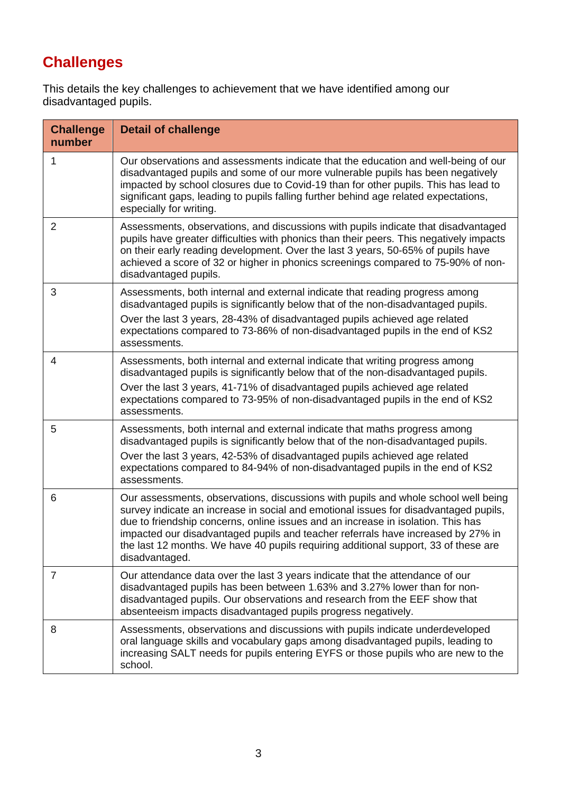# **Challenges**

This details the key challenges to achievement that we have identified among our disadvantaged pupils.

| <b>Challenge</b><br>number | <b>Detail of challenge</b>                                                                                                                                                                                                                                                                                                                                                                                                                                  |
|----------------------------|-------------------------------------------------------------------------------------------------------------------------------------------------------------------------------------------------------------------------------------------------------------------------------------------------------------------------------------------------------------------------------------------------------------------------------------------------------------|
| 1                          | Our observations and assessments indicate that the education and well-being of our<br>disadvantaged pupils and some of our more vulnerable pupils has been negatively<br>impacted by school closures due to Covid-19 than for other pupils. This has lead to<br>significant gaps, leading to pupils falling further behind age related expectations,<br>especially for writing.                                                                             |
| $\overline{2}$             | Assessments, observations, and discussions with pupils indicate that disadvantaged<br>pupils have greater difficulties with phonics than their peers. This negatively impacts<br>on their early reading development. Over the last 3 years, 50-65% of pupils have<br>achieved a score of 32 or higher in phonics screenings compared to 75-90% of non-<br>disadvantaged pupils.                                                                             |
| 3                          | Assessments, both internal and external indicate that reading progress among<br>disadvantaged pupils is significantly below that of the non-disadvantaged pupils.<br>Over the last 3 years, 28-43% of disadvantaged pupils achieved age related<br>expectations compared to 73-86% of non-disadvantaged pupils in the end of KS2<br>assessments.                                                                                                            |
| 4                          | Assessments, both internal and external indicate that writing progress among<br>disadvantaged pupils is significantly below that of the non-disadvantaged pupils.<br>Over the last 3 years, 41-71% of disadvantaged pupils achieved age related<br>expectations compared to 73-95% of non-disadvantaged pupils in the end of KS2<br>assessments.                                                                                                            |
| 5                          | Assessments, both internal and external indicate that maths progress among<br>disadvantaged pupils is significantly below that of the non-disadvantaged pupils.<br>Over the last 3 years, 42-53% of disadvantaged pupils achieved age related<br>expectations compared to 84-94% of non-disadvantaged pupils in the end of KS2<br>assessments.                                                                                                              |
| 6                          | Our assessments, observations, discussions with pupils and whole school well being<br>survey indicate an increase in social and emotional issues for disadvantaged pupils,<br>due to friendship concerns, online issues and an increase in isolation. This has<br>impacted our disadvantaged pupils and teacher referrals have increased by 27% in<br>the last 12 months. We have 40 pupils requiring additional support, 33 of these are<br>disadvantaged. |
| $\overline{7}$             | Our attendance data over the last 3 years indicate that the attendance of our<br>disadvantaged pupils has been between 1.63% and 3.27% lower than for non-<br>disadvantaged pupils. Our observations and research from the EEF show that<br>absenteeism impacts disadvantaged pupils progress negatively.                                                                                                                                                   |
| 8                          | Assessments, observations and discussions with pupils indicate underdeveloped<br>oral language skills and vocabulary gaps among disadvantaged pupils, leading to<br>increasing SALT needs for pupils entering EYFS or those pupils who are new to the<br>school.                                                                                                                                                                                            |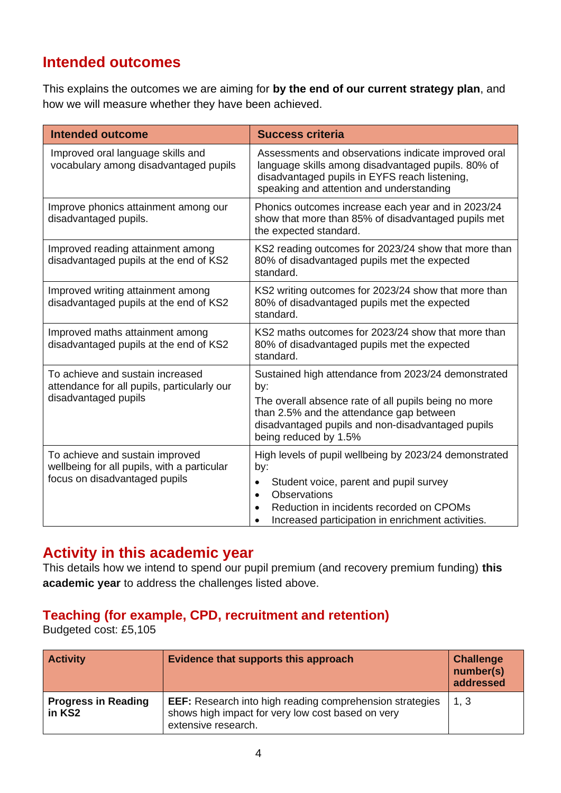### **Intended outcomes**

This explains the outcomes we are aiming for **by the end of our current strategy plan**, and how we will measure whether they have been achieved.

| <b>Intended outcome</b>                                                                                         | <b>Success criteria</b>                                                                                                                                                                                                                      |
|-----------------------------------------------------------------------------------------------------------------|----------------------------------------------------------------------------------------------------------------------------------------------------------------------------------------------------------------------------------------------|
| Improved oral language skills and<br>vocabulary among disadvantaged pupils                                      | Assessments and observations indicate improved oral<br>language skills among disadvantaged pupils. 80% of<br>disadvantaged pupils in EYFS reach listening,<br>speaking and attention and understanding                                       |
| Improve phonics attainment among our<br>disadvantaged pupils.                                                   | Phonics outcomes increase each year and in 2023/24<br>show that more than 85% of disadvantaged pupils met<br>the expected standard.                                                                                                          |
| Improved reading attainment among<br>disadvantaged pupils at the end of KS2                                     | KS2 reading outcomes for 2023/24 show that more than<br>80% of disadvantaged pupils met the expected<br>standard.                                                                                                                            |
| Improved writing attainment among<br>disadvantaged pupils at the end of KS2                                     | KS2 writing outcomes for 2023/24 show that more than<br>80% of disadvantaged pupils met the expected<br>standard.                                                                                                                            |
| Improved maths attainment among<br>disadvantaged pupils at the end of KS2                                       | KS2 maths outcomes for 2023/24 show that more than<br>80% of disadvantaged pupils met the expected<br>standard.                                                                                                                              |
| To achieve and sustain increased<br>attendance for all pupils, particularly our<br>disadvantaged pupils         | Sustained high attendance from 2023/24 demonstrated<br>by:<br>The overall absence rate of all pupils being no more<br>than 2.5% and the attendance gap between<br>disadvantaged pupils and non-disadvantaged pupils<br>being reduced by 1.5% |
| To achieve and sustain improved<br>wellbeing for all pupils, with a particular<br>focus on disadvantaged pupils | High levels of pupil wellbeing by 2023/24 demonstrated<br>by:<br>Student voice, parent and pupil survey<br>Observations<br>$\bullet$<br>Reduction in incidents recorded on CPOMs<br>Increased participation in enrichment activities.        |

### **Activity in this academic year**

This details how we intend to spend our pupil premium (and recovery premium funding) **this academic year** to address the challenges listed above.

#### **Teaching (for example, CPD, recruitment and retention)**

Budgeted cost: £5,105

| <b>Activity</b>                      | Evidence that supports this approach                                                                                                        | <b>Challenge</b><br>number(s)<br>addressed |
|--------------------------------------|---------------------------------------------------------------------------------------------------------------------------------------------|--------------------------------------------|
| <b>Progress in Reading</b><br>in KS2 | <b>EEF:</b> Research into high reading comprehension strategies<br>shows high impact for very low cost based on very<br>extensive research. | 1, 3                                       |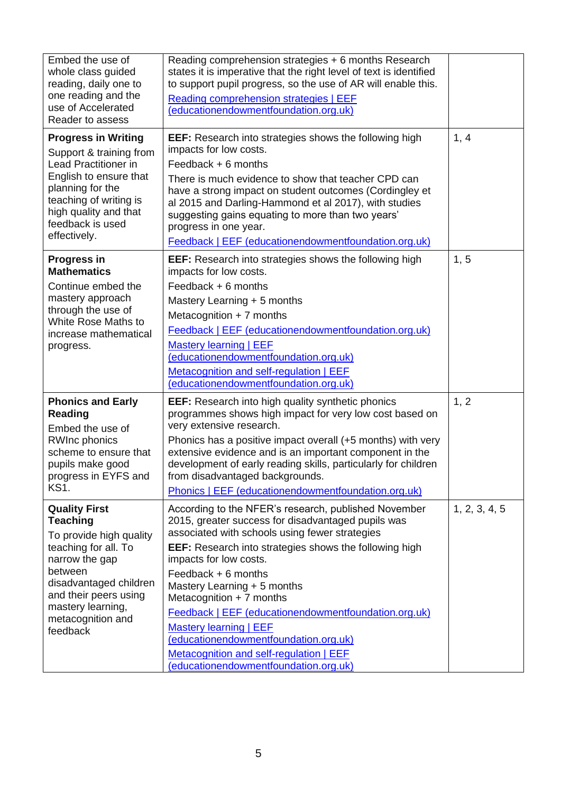| Embed the use of<br>whole class guided<br>reading, daily one to<br>one reading and the<br>use of Accelerated<br>Reader to assess                                                                                                 | Reading comprehension strategies + 6 months Research<br>states it is imperative that the right level of text is identified<br>to support pupil progress, so the use of AR will enable this.<br>Reading comprehension strategies   EEF<br>(educationendowmentfoundation.org.uk)                                                                                                                                                                                                                                                                             |               |
|----------------------------------------------------------------------------------------------------------------------------------------------------------------------------------------------------------------------------------|------------------------------------------------------------------------------------------------------------------------------------------------------------------------------------------------------------------------------------------------------------------------------------------------------------------------------------------------------------------------------------------------------------------------------------------------------------------------------------------------------------------------------------------------------------|---------------|
| <b>Progress in Writing</b><br>Support & training from<br>Lead Practitioner in<br>English to ensure that<br>planning for the<br>teaching of writing is<br>high quality and that<br>feedback is used<br>effectively.               | <b>EEF:</b> Research into strategies shows the following high<br>impacts for low costs.<br>Feedback $+ 6$ months<br>There is much evidence to show that teacher CPD can<br>have a strong impact on student outcomes (Cordingley et<br>al 2015 and Darling-Hammond et al 2017), with studies<br>suggesting gains equating to more than two years'<br>progress in one year.<br>Feedback   EEF (educationendowmentfoundation.org.uk)                                                                                                                          | 1, 4          |
| <b>Progress in</b><br><b>Mathematics</b><br>Continue embed the<br>mastery approach<br>through the use of<br>White Rose Maths to<br>increase mathematical<br>progress.                                                            | <b>EEF:</b> Research into strategies shows the following high<br>impacts for low costs.<br>Feedback $+ 6$ months<br>Mastery Learning + 5 months<br>Metacognition $+ 7$ months<br>Feedback   EEF (educationendowmentfoundation.org.uk)<br><b>Mastery learning   EEF</b><br>(educationendowmentfoundation.org.uk)<br>Metacognition and self-regulation   EEF<br>(educationendowmentfoundation.org.uk)                                                                                                                                                        | 1, 5          |
| <b>Phonics and Early</b><br><b>Reading</b><br>Embed the use of<br><b>RWInc phonics</b><br>scheme to ensure that<br>pupils make good<br>progress in EYFS and<br><b>KS1.</b>                                                       | <b>EEF:</b> Research into high quality synthetic phonics<br>programmes shows high impact for very low cost based on<br>very extensive research.<br>Phonics has a positive impact overall (+5 months) with very<br>extensive evidence and is an important component in the<br>development of early reading skills, particularly for children<br>from disadvantaged backgrounds.<br>Phonics   EEF (educationendowmentfoundation.org.uk)                                                                                                                      | 1, 2          |
| <b>Quality First</b><br><b>Teaching</b><br>To provide high quality<br>teaching for all. To<br>narrow the gap<br>between<br>disadvantaged children<br>and their peers using<br>mastery learning,<br>metacognition and<br>feedback | According to the NFER's research, published November<br>2015, greater success for disadvantaged pupils was<br>associated with schools using fewer strategies<br><b>EEF:</b> Research into strategies shows the following high<br>impacts for low costs.<br>Feedback + 6 months<br>Mastery Learning + 5 months<br>Metacognition $+ 7$ months<br>Feedback   EEF (educationendowmentfoundation.org.uk)<br>Mastery learning   EEF<br>(educationendowmentfoundation.org.uk)<br>Metacognition and self-regulation   EEF<br>(educationendowmentfoundation.org.uk) | 1, 2, 3, 4, 5 |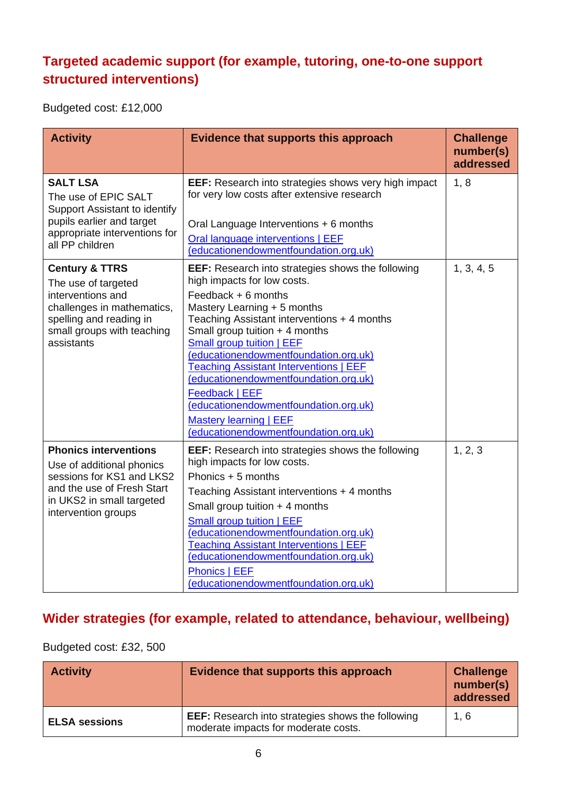### **Targeted academic support (for example, tutoring, one-to-one support structured interventions)**

Budgeted cost: £12,000

| <b>Activity</b>                                                                                                                                                            | Evidence that supports this approach                                                                                                                                                                                                                                                                                                                                                                                                                                                                                                           | <b>Challenge</b><br>number(s)<br>addressed |
|----------------------------------------------------------------------------------------------------------------------------------------------------------------------------|------------------------------------------------------------------------------------------------------------------------------------------------------------------------------------------------------------------------------------------------------------------------------------------------------------------------------------------------------------------------------------------------------------------------------------------------------------------------------------------------------------------------------------------------|--------------------------------------------|
| <b>SALT LSA</b><br>The use of EPIC SALT<br>Support Assistant to identify<br>pupils earlier and target<br>appropriate interventions for<br>all PP children                  | <b>EEF:</b> Research into strategies shows very high impact<br>for very low costs after extensive research<br>Oral Language Interventions + 6 months<br>Oral language interventions   EEF<br>(educationendowmentfoundation.org.uk)                                                                                                                                                                                                                                                                                                             | 1, 8                                       |
| <b>Century &amp; TTRS</b><br>The use of targeted<br>interventions and<br>challenges in mathematics,<br>spelling and reading in<br>small groups with teaching<br>assistants | <b>EEF:</b> Research into strategies shows the following<br>high impacts for low costs.<br>Feedback $+ 6$ months<br>Mastery Learning + 5 months<br>Teaching Assistant interventions + 4 months<br>Small group tuition $+$ 4 months<br>Small group tuition   EEF<br>(educationendowmentfoundation.org.uk)<br><b>Teaching Assistant Interventions   EEF</b><br>(educationendowmentfoundation.org.uk)<br><b>Feedback   EEF</b><br>(educationendowmentfoundation.org.uk)<br><b>Mastery learning   EEF</b><br>(educationendowmentfoundation.org.uk) | 1, 3, 4, 5                                 |
| <b>Phonics interventions</b><br>Use of additional phonics<br>sessions for KS1 and LKS2<br>and the use of Fresh Start<br>in UKS2 in small targeted<br>intervention groups   | <b>EEF:</b> Research into strategies shows the following<br>high impacts for low costs.<br>Phonics + 5 months<br>Teaching Assistant interventions + 4 months<br>Small group tuition $+$ 4 months<br>Small group tuition   EEF<br>(educationendowmentfoundation.org.uk)<br><b>Teaching Assistant Interventions   EEF</b><br>(educationendowmentfoundation.org.uk)<br><b>Phonics   EEF</b><br>(educationendowmentfoundation.org.uk)                                                                                                              | 1, 2, 3                                    |

### **Wider strategies (for example, related to attendance, behaviour, wellbeing)**

#### Budgeted cost: £32, 500

| <b>Activity</b>      | Evidence that supports this approach                                                             | <b>Challenge</b><br>number(s)<br>addressed |
|----------------------|--------------------------------------------------------------------------------------------------|--------------------------------------------|
| <b>ELSA sessions</b> | <b>EEF:</b> Research into strategies shows the following<br>moderate impacts for moderate costs. | 1, 6                                       |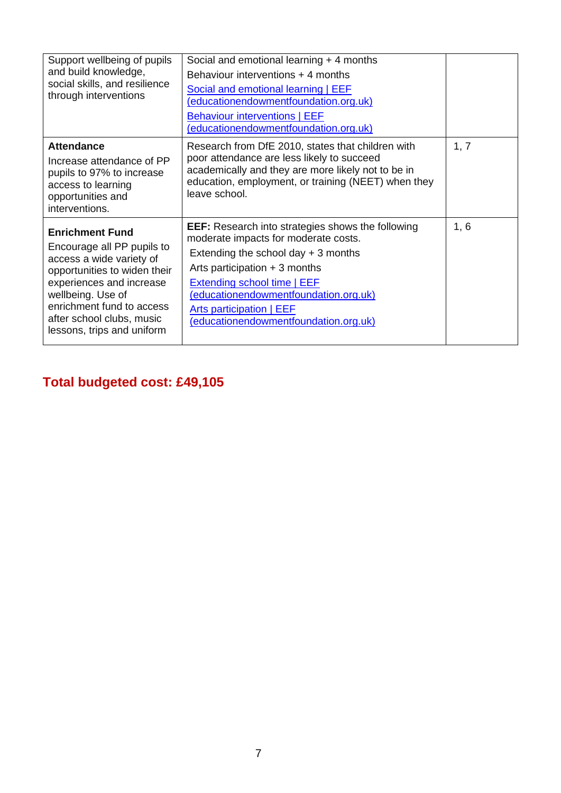| Support wellbeing of pupils<br>and build knowledge,<br>social skills, and resilience<br>through interventions                                                                                                                                             | Social and emotional learning + 4 months<br>Behaviour interventions + 4 months<br>Social and emotional learning   EEF<br>(educationendowmentfoundation.org.uk)<br><b>Behaviour interventions   EEF</b><br>(educationendowmentfoundation.org.uk)                                                                                |      |
|-----------------------------------------------------------------------------------------------------------------------------------------------------------------------------------------------------------------------------------------------------------|--------------------------------------------------------------------------------------------------------------------------------------------------------------------------------------------------------------------------------------------------------------------------------------------------------------------------------|------|
| <b>Attendance</b><br>Increase attendance of PP<br>pupils to 97% to increase<br>access to learning<br>opportunities and<br>interventions.                                                                                                                  | Research from DfE 2010, states that children with<br>poor attendance are less likely to succeed<br>academically and they are more likely not to be in<br>education, employment, or training (NEET) when they<br>leave school.                                                                                                  | 1, 7 |
| <b>Enrichment Fund</b><br>Encourage all PP pupils to<br>access a wide variety of<br>opportunities to widen their<br>experiences and increase<br>wellbeing. Use of<br>enrichment fund to access<br>after school clubs, music<br>lessons, trips and uniform | <b>EEF:</b> Research into strategies shows the following<br>moderate impacts for moderate costs.<br>Extending the school day $+3$ months<br>Arts participation $+3$ months<br><b>Extending school time   EEF</b><br>(educationendowmentfoundation.org.uk)<br>Arts participation   EEF<br>(educationendowmentfoundation.org.uk) | 1, 6 |

# **Total budgeted cost: £49,105**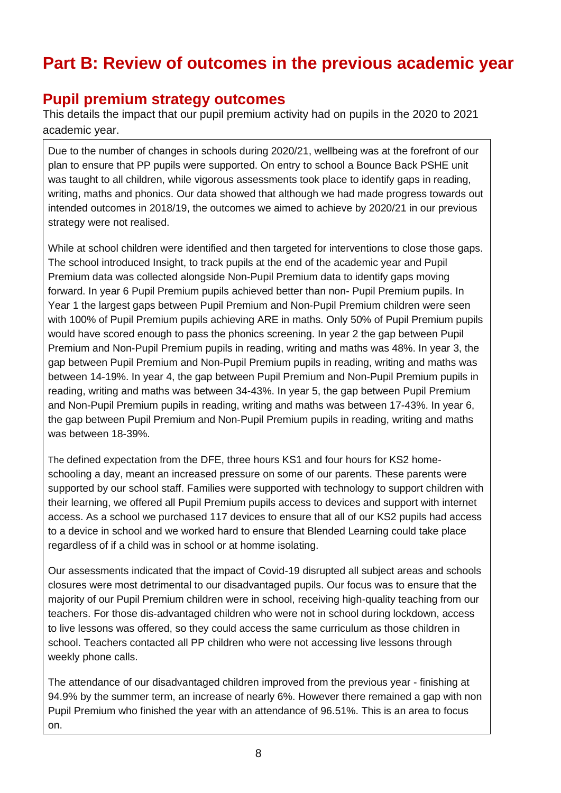## **Part B: Review of outcomes in the previous academic year**

#### **Pupil premium strategy outcomes**

This details the impact that our pupil premium activity had on pupils in the 2020 to 2021 academic year.

Due to the number of changes in schools during 2020/21, wellbeing was at the forefront of our plan to ensure that PP pupils were supported. On entry to school a Bounce Back PSHE unit was taught to all children, while vigorous assessments took place to identify gaps in reading, writing, maths and phonics. Our data showed that although we had made progress towards out intended outcomes in 2018/19, the outcomes we aimed to achieve by 2020/21 in our previous strategy were not realised.

While at school children were identified and then targeted for interventions to close those gaps. The school introduced Insight, to track pupils at the end of the academic year and Pupil Premium data was collected alongside Non-Pupil Premium data to identify gaps moving forward. In year 6 Pupil Premium pupils achieved better than non- Pupil Premium pupils. In Year 1 the largest gaps between Pupil Premium and Non-Pupil Premium children were seen with 100% of Pupil Premium pupils achieving ARE in maths. Only 50% of Pupil Premium pupils would have scored enough to pass the phonics screening. In year 2 the gap between Pupil Premium and Non-Pupil Premium pupils in reading, writing and maths was 48%. In year 3, the gap between Pupil Premium and Non-Pupil Premium pupils in reading, writing and maths was between 14-19%. In year 4, the gap between Pupil Premium and Non-Pupil Premium pupils in reading, writing and maths was between 34-43%. In year 5, the gap between Pupil Premium and Non-Pupil Premium pupils in reading, writing and maths was between 17-43%. In year 6, the gap between Pupil Premium and Non-Pupil Premium pupils in reading, writing and maths was between 18-39%.

The defined expectation from the DFE, three hours KS1 and four hours for KS2 homeschooling a day, meant an increased pressure on some of our parents. These parents were supported by our school staff. Families were supported with technology to support children with their learning, we offered all Pupil Premium pupils access to devices and support with internet access. As a school we purchased 117 devices to ensure that all of our KS2 pupils had access to a device in school and we worked hard to ensure that Blended Learning could take place regardless of if a child was in school or at homme isolating.

Our assessments indicated that the impact of Covid-19 disrupted all subject areas and schools closures were most detrimental to our disadvantaged pupils. Our focus was to ensure that the majority of our Pupil Premium children were in school, receiving high-quality teaching from our teachers. For those dis-advantaged children who were not in school during lockdown, access to live lessons was offered, so they could access the same curriculum as those children in school. Teachers contacted all PP children who were not accessing live lessons through weekly phone calls.

The attendance of our disadvantaged children improved from the previous year - finishing at 94.9% by the summer term, an increase of nearly 6%. However there remained a gap with non Pupil Premium who finished the year with an attendance of 96.51%. This is an area to focus on.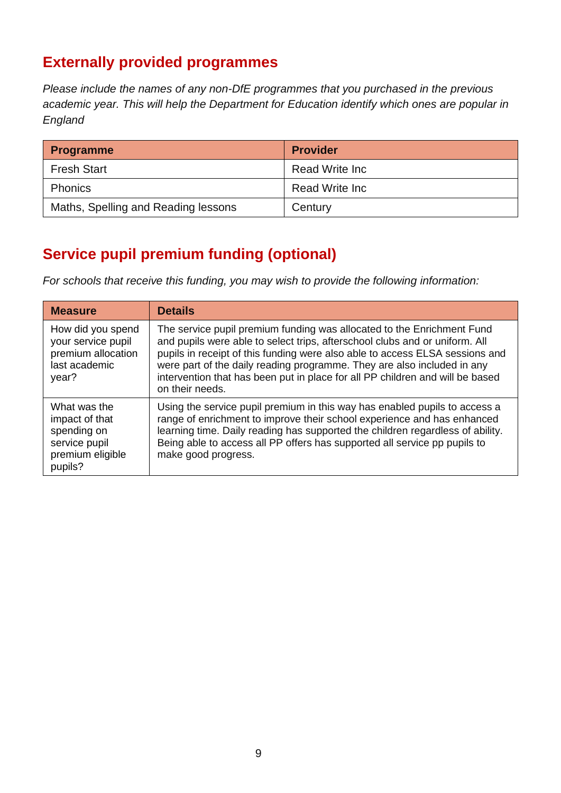## **Externally provided programmes**

*Please include the names of any non-DfE programmes that you purchased in the previous academic year. This will help the Department for Education identify which ones are popular in England*

| <b>Programme</b>                    | <b>Provider</b> |
|-------------------------------------|-----------------|
| <b>Fresh Start</b>                  | Read Write Inc  |
| <b>Phonics</b>                      | Read Write Inc  |
| Maths, Spelling and Reading lessons | Century         |

## **Service pupil premium funding (optional)**

*For schools that receive this funding, you may wish to provide the following information:* 

| <b>Measure</b>                                                                                | <b>Details</b>                                                                                                                                                                                                                                                                                                                                                                                                       |
|-----------------------------------------------------------------------------------------------|----------------------------------------------------------------------------------------------------------------------------------------------------------------------------------------------------------------------------------------------------------------------------------------------------------------------------------------------------------------------------------------------------------------------|
| How did you spend<br>your service pupil<br>premium allocation<br>last academic<br>year?       | The service pupil premium funding was allocated to the Enrichment Fund<br>and pupils were able to select trips, afterschool clubs and or uniform. All<br>pupils in receipt of this funding were also able to access ELSA sessions and<br>were part of the daily reading programme. They are also included in any<br>intervention that has been put in place for all PP children and will be based<br>on their needs. |
| What was the<br>impact of that<br>spending on<br>service pupil<br>premium eligible<br>pupils? | Using the service pupil premium in this way has enabled pupils to access a<br>range of enrichment to improve their school experience and has enhanced<br>learning time. Daily reading has supported the children regardless of ability.<br>Being able to access all PP offers has supported all service pp pupils to<br>make good progress.                                                                          |